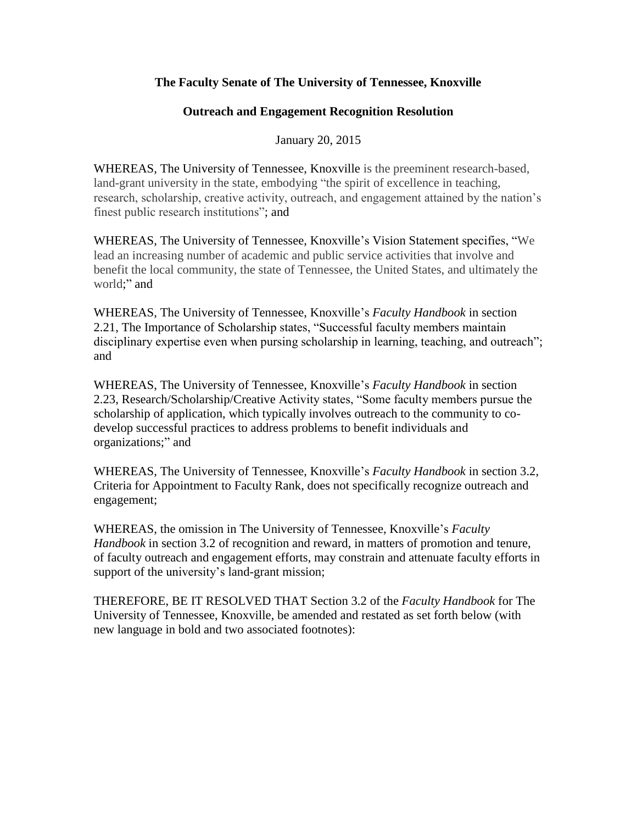## **The Faculty Senate of The University of Tennessee, Knoxville**

## **Outreach and Engagement Recognition Resolution**

January 20, 2015

WHEREAS, The University of Tennessee, Knoxville is the preeminent research-based, land-grant university in the state, embodying "the spirit of excellence in teaching, research, scholarship, creative activity, outreach, and engagement attained by the nation's finest public research institutions"; and

WHEREAS, The University of Tennessee, Knoxville's Vision Statement specifies, "We lead an increasing number of academic and public service activities that involve and benefit the local community, the state of Tennessee, the United States, and ultimately the world;" and

WHEREAS, The University of Tennessee, Knoxville's *Faculty Handbook* in section 2.21, The Importance of Scholarship states, "Successful faculty members maintain disciplinary expertise even when pursing scholarship in learning, teaching, and outreach"; and

WHEREAS, The University of Tennessee, Knoxville's *Faculty Handbook* in section 2.23, Research/Scholarship/Creative Activity states, "Some faculty members pursue the scholarship of application, which typically involves outreach to the community to codevelop successful practices to address problems to benefit individuals and organizations;" and

WHEREAS, The University of Tennessee, Knoxville's *Faculty Handbook* in section 3.2, Criteria for Appointment to Faculty Rank, does not specifically recognize outreach and engagement;

WHEREAS, the omission in The University of Tennessee, Knoxville's *Faculty Handbook* in section 3.2 of recognition and reward, in matters of promotion and tenure, of faculty outreach and engagement efforts, may constrain and attenuate faculty efforts in support of the university's land-grant mission;

THEREFORE, BE IT RESOLVED THAT Section 3.2 of the *Faculty Handbook* for The University of Tennessee, Knoxville, be amended and restated as set forth below (with new language in bold and two associated footnotes):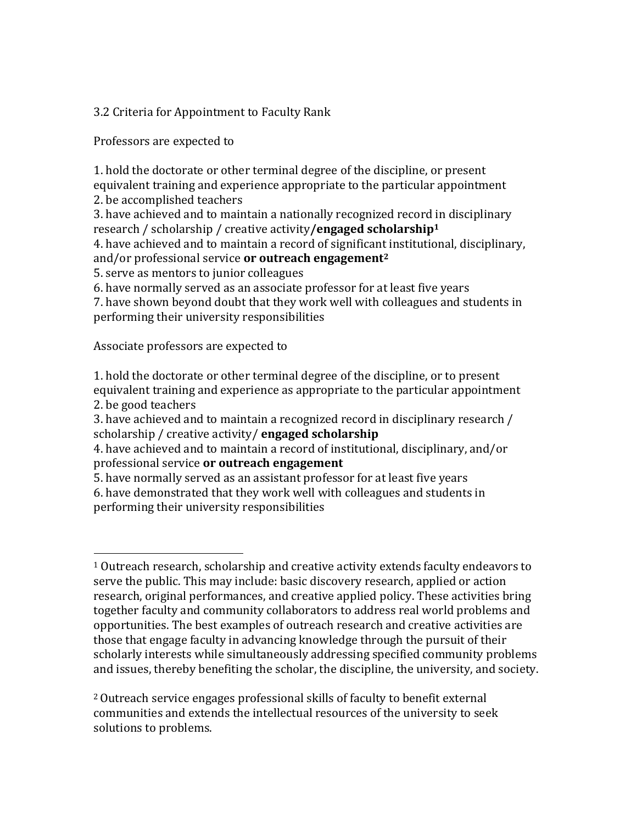3.2 Criteria for Appointment to Faculty Rank

Professors are expected to

1. hold the doctorate or other terminal degree of the discipline, or present equivalent training and experience appropriate to the particular appointment 2. be accomplished teachers

3. have achieved and to maintain a nationally recognized record in disciplinary research / scholarship / creative activity**/engaged scholarship<sup>1</sup>**

4. have achieved and to maintain a record of significant institutional, disciplinary, and/or professional service **or outreach engagement<sup>2</sup>**

5. serve as mentors to junior colleagues

6. have normally served as an associate professor for at least five years

7. have shown beyond doubt that they work well with colleagues and students in performing their university responsibilities

Associate professors are expected to

 $\overline{\phantom{a}}$ 

1. hold the doctorate or other terminal degree of the discipline, or to present equivalent training and experience as appropriate to the particular appointment 2. be good teachers

3. have achieved and to maintain a recognized record in disciplinary research / scholarship / creative activity/ **engaged scholarship**

4. have achieved and to maintain a record of institutional, disciplinary, and/or professional service **or outreach engagement**

5. have normally served as an assistant professor for at least five years

6. have demonstrated that they work well with colleagues and students in performing their university responsibilities

<sup>2</sup>Outreach service engages professional skills of faculty to benefit external communities and extends the intellectual resources of the university to seek solutions to problems.

<sup>1</sup> Outreach research, scholarship and creative activity extends faculty endeavors to serve the public. This may include: basic discovery research, applied or action research, original performances, and creative applied policy. These activities bring together faculty and community collaborators to address real world problems and opportunities. The best examples of outreach research and creative activities are those that engage faculty in advancing knowledge through the pursuit of their scholarly interests while simultaneously addressing specified community problems and issues, thereby benefiting the scholar, the discipline, the university, and society.